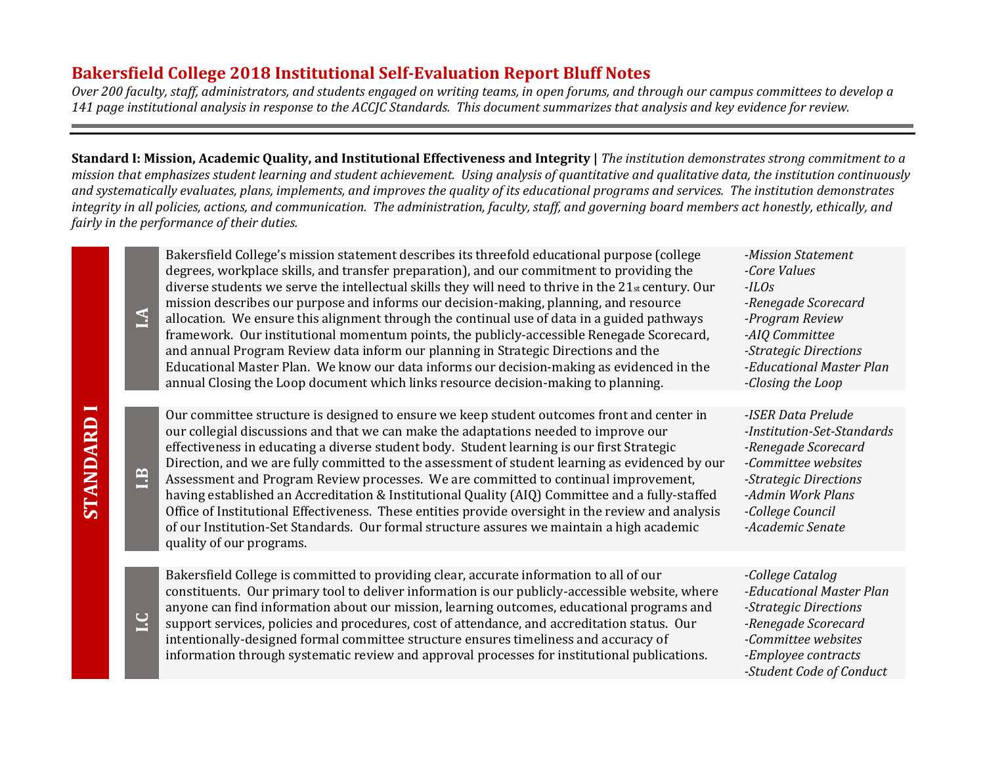## **Bakersfield College 2018 Institutional Self-Evaluation Report Bluff Notes**

**STANDARD I**

**STANDARD I** 

*Over 200 faculty, staff, administrators, and students engaged on writing teams, in open forums, and through our campus committees to develop a 141 page institutional analysis in response to the ACCJC Standards. This document summarizes that analysis and key evidence for review.*

**Standard I: Mission, Academic Quality, and Institutional Effectiveness and Integrity** | The institution demonstrates strong commitment to a *mission that emphasizes student learning and student achievement. Using analysis of quantitative and qualitative data, the institution continuously and systematically evaluates, plans, implements, and improves the quality of its educational programs and services. The institution demonstrates integrity in all policies, actions, and communication. The administration, faculty, staff, and governing board members act honestly, ethically, and fairly in the performance of their duties.*

| $\mathbb{A}$   | Bakersfield College's mission statement describes its threefold educational purpose (college<br>degrees, workplace skills, and transfer preparation), and our commitment to providing the<br>diverse students we serve the intellectual skills they will need to thrive in the 21st century. Our<br>mission describes our purpose and informs our decision-making, planning, and resource<br>allocation. We ensure this alignment through the continual use of data in a guided pathways<br>framework. Our institutional momentum points, the publicly-accessible Renegade Scorecard,<br>and annual Program Review data inform our planning in Strategic Directions and the<br>Educational Master Plan. We know our data informs our decision-making as evidenced in the<br>annual Closing the Loop document which links resource decision-making to planning. | -Mission Statement<br>-Core Values<br>$-ILOS$<br>-Renegade Scorecard<br>-Program Review<br>-AIQ Committee<br>-Strategic Directions<br>-Educational Master Plan<br>-Closing the Loop  |
|----------------|----------------------------------------------------------------------------------------------------------------------------------------------------------------------------------------------------------------------------------------------------------------------------------------------------------------------------------------------------------------------------------------------------------------------------------------------------------------------------------------------------------------------------------------------------------------------------------------------------------------------------------------------------------------------------------------------------------------------------------------------------------------------------------------------------------------------------------------------------------------|--------------------------------------------------------------------------------------------------------------------------------------------------------------------------------------|
| 1.3            | Our committee structure is designed to ensure we keep student outcomes front and center in<br>our collegial discussions and that we can make the adaptations needed to improve our<br>effectiveness in educating a diverse student body. Student learning is our first Strategic<br>Direction, and we are fully committed to the assessment of student learning as evidenced by our<br>Assessment and Program Review processes. We are committed to continual improvement,<br>having established an Accreditation & Institutional Quality (AIQ) Committee and a fully-staffed<br>Office of Institutional Effectiveness. These entities provide oversight in the review and analysis<br>of our Institution-Set Standards. Our formal structure assures we maintain a high academic<br>quality of our programs.                                                  | -ISER Data Prelude<br>-Institution-Set-Standards<br>-Renegade Scorecard<br>-Committee websites<br>-Strategic Directions<br>-Admin Work Plans<br>-College Council<br>-Academic Senate |
| $\overline{C}$ | Bakersfield College is committed to providing clear, accurate information to all of our<br>constituents. Our primary tool to deliver information is our publicly-accessible website, where<br>anyone can find information about our mission, learning outcomes, educational programs and<br>support services, policies and procedures, cost of attendance, and accreditation status. Our<br>intentionally-designed formal committee structure ensures timeliness and accuracy of<br>information through systematic review and approval processes for institutional publications.                                                                                                                                                                                                                                                                               | -College Catalog<br>-Educational Master Plan<br>-Strategic Directions<br>-Renegade Scorecard<br>-Committee websites<br>-Employee contracts<br>-Student Code of Conduct               |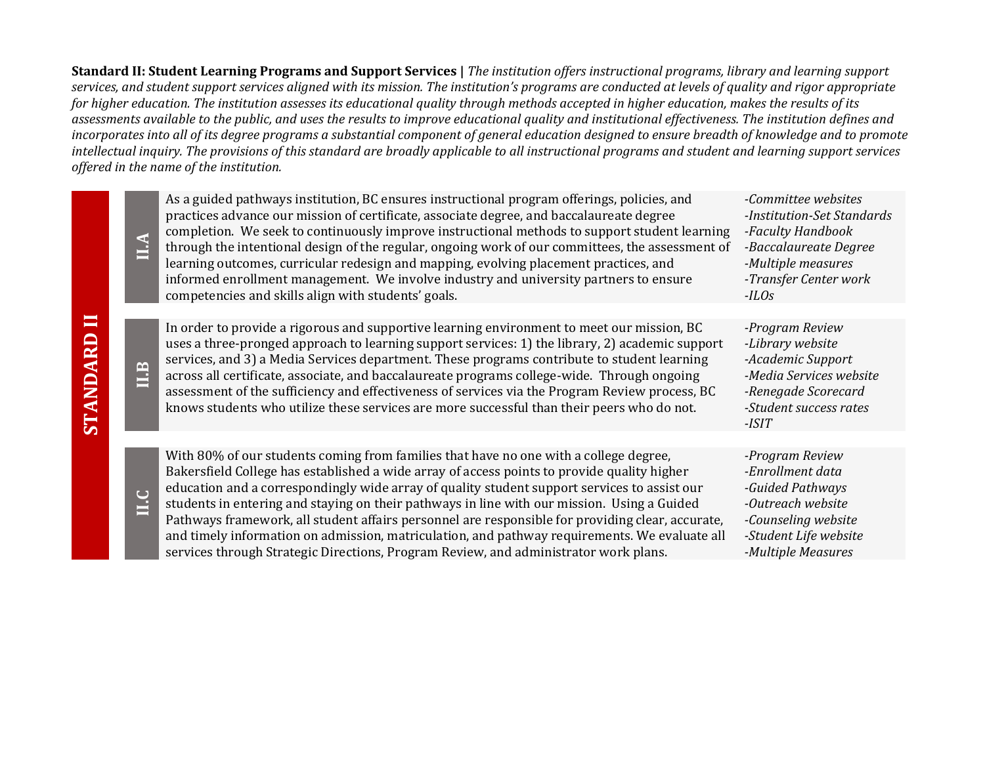**Standard II: Student Learning Programs and Support Services |** *The institution offers instructional programs, library and learning support services, and student support services aligned with its mission. The institution's programs are conducted at levels of quality and rigor appropriate for higher education. The institution assesses its educational quality through methods accepted in higher education, makes the results of its assessments available to the public, and uses the results to improve educational quality and institutional effectiveness. The institution defines and incorporates into all of its degree programs a substantial component of general education designed to ensure breadth of knowledge and to promote intellectual inquiry. The provisions of this standard are broadly applicable to all instructional programs and student and learning support services offered in the name of the institution.*

|                | <b>A.II</b> | As a guided pathways institution, BC ensures instructional program offerings, policies, and<br>practices advance our mission of certificate, associate degree, and baccalaureate degree<br>completion. We seek to continuously improve instructional methods to support student learning<br>through the intentional design of the regular, ongoing work of our committees, the assessment of<br>learning outcomes, curricular redesign and mapping, evolving placement practices, and<br>informed enrollment management. We involve industry and university partners to ensure<br>competencies and skills align with students' goals.                                            | -Committee websites<br>-Institution-Set Standards<br>-Faculty Handbook<br>-Baccalaureate Degree<br>-Multiple measures<br>-Transfer Center work<br>$-ILOS$ |
|----------------|-------------|----------------------------------------------------------------------------------------------------------------------------------------------------------------------------------------------------------------------------------------------------------------------------------------------------------------------------------------------------------------------------------------------------------------------------------------------------------------------------------------------------------------------------------------------------------------------------------------------------------------------------------------------------------------------------------|-----------------------------------------------------------------------------------------------------------------------------------------------------------|
|                |             |                                                                                                                                                                                                                                                                                                                                                                                                                                                                                                                                                                                                                                                                                  |                                                                                                                                                           |
| <b>STANDAR</b> | ILB         | In order to provide a rigorous and supportive learning environment to meet our mission, BC<br>uses a three-pronged approach to learning support services: 1) the library, 2) academic support<br>services, and 3) a Media Services department. These programs contribute to student learning<br>across all certificate, associate, and baccalaureate programs college-wide. Through ongoing<br>assessment of the sufficiency and effectiveness of services via the Program Review process, BC<br>knows students who utilize these services are more successful than their peers who do not.                                                                                      | -Program Review<br>-Library website<br>-Academic Support<br>-Media Services website<br>-Renegade Scorecard<br>-Student success rates<br>-ISIT             |
|                |             |                                                                                                                                                                                                                                                                                                                                                                                                                                                                                                                                                                                                                                                                                  |                                                                                                                                                           |
|                | <b>DTI</b>  | With 80% of our students coming from families that have no one with a college degree,<br>Bakersfield College has established a wide array of access points to provide quality higher<br>education and a correspondingly wide array of quality student support services to assist our<br>students in entering and staying on their pathways in line with our mission. Using a Guided<br>Pathways framework, all student affairs personnel are responsible for providing clear, accurate,<br>and timely information on admission, matriculation, and pathway requirements. We evaluate all<br>services through Strategic Directions, Program Review, and administrator work plans. | -Program Review<br>-Enrollment data<br>-Guided Pathways<br>-Outreach website<br>-Counseling website<br>-Student Life website<br>-Multiple Measures        |

**STANDARD II**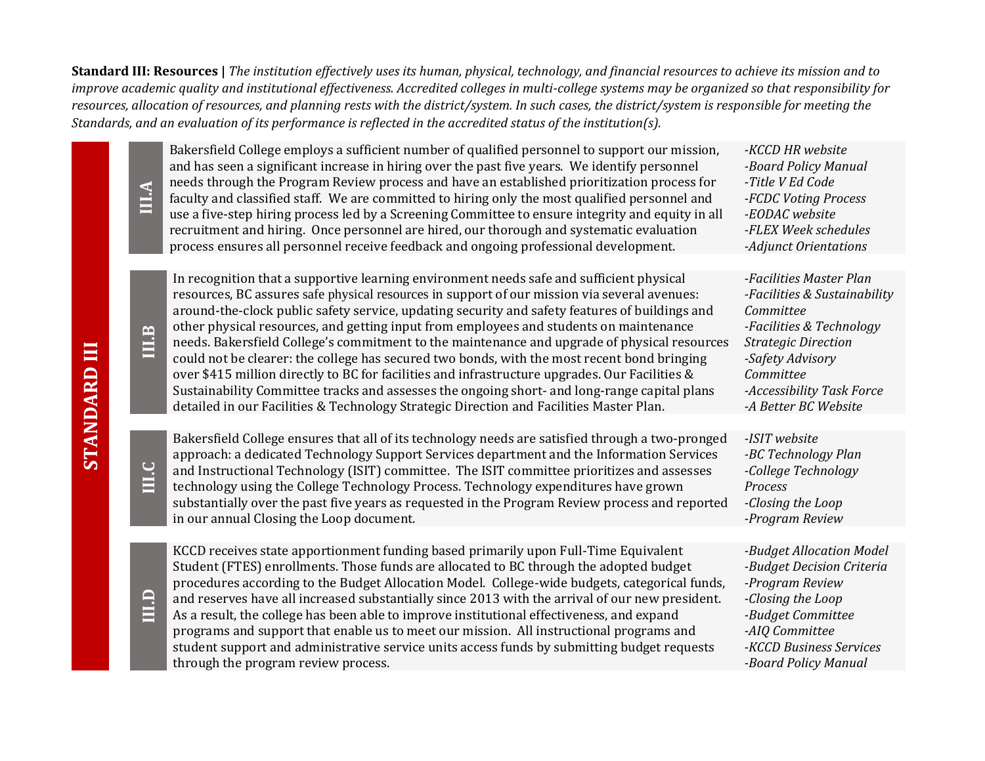**Standard III: Resources |** *The institution effectively uses its human, physical, technology, and financial resources to achieve its mission and to*  improve academic quality and institutional effectiveness. Accredited colleges in multi-college systems may be organized so that responsibility for *resources, allocation of resources, and planning rests with the district/system. In such cases, the district/system is responsible for meeting the Standards, and an evaluation of its performance is reflected in the accredited status of the institution(s).*

| <b>AIII</b> | Bakersfield College employs a sufficient number of qualified personnel to support our mission,<br>and has seen a significant increase in hiring over the past five years. We identify personnel<br>needs through the Program Review process and have an established prioritization process for<br>faculty and classified staff. We are committed to hiring only the most qualified personnel and<br>use a five-step hiring process led by a Screening Committee to ensure integrity and equity in all<br>recruitment and hiring. Once personnel are hired, our thorough and systematic evaluation<br>process ensures all personnel receive feedback and ongoing professional development.                                                                                                                                                                                        | -KCCD HR website<br>-Board Policy Manual<br>-Title V Ed Code<br>-FCDC Voting Process<br>-EODAC website<br>-FLEX Week schedules<br>-Adjunct Orientations                                                              |
|-------------|----------------------------------------------------------------------------------------------------------------------------------------------------------------------------------------------------------------------------------------------------------------------------------------------------------------------------------------------------------------------------------------------------------------------------------------------------------------------------------------------------------------------------------------------------------------------------------------------------------------------------------------------------------------------------------------------------------------------------------------------------------------------------------------------------------------------------------------------------------------------------------|----------------------------------------------------------------------------------------------------------------------------------------------------------------------------------------------------------------------|
|             |                                                                                                                                                                                                                                                                                                                                                                                                                                                                                                                                                                                                                                                                                                                                                                                                                                                                                  |                                                                                                                                                                                                                      |
| III.B       | In recognition that a supportive learning environment needs safe and sufficient physical<br>resources, BC assures safe physical resources in support of our mission via several avenues:<br>around-the-clock public safety service, updating security and safety features of buildings and<br>other physical resources, and getting input from employees and students on maintenance<br>needs. Bakersfield College's commitment to the maintenance and upgrade of physical resources<br>could not be clearer: the college has secured two bonds, with the most recent bond bringing<br>over \$415 million directly to BC for facilities and infrastructure upgrades. Our Facilities &<br>Sustainability Committee tracks and assesses the ongoing short- and long-range capital plans<br>detailed in our Facilities & Technology Strategic Direction and Facilities Master Plan. | -Facilities Master Plan<br>-Facilities & Sustainability<br>Committee<br>-Facilities & Technology<br><b>Strategic Direction</b><br>-Safety Advisory<br>Committee<br>-Accessibility Task Force<br>-A Better BC Website |
|             |                                                                                                                                                                                                                                                                                                                                                                                                                                                                                                                                                                                                                                                                                                                                                                                                                                                                                  |                                                                                                                                                                                                                      |
| III.C       | Bakersfield College ensures that all of its technology needs are satisfied through a two-pronged<br>approach: a dedicated Technology Support Services department and the Information Services<br>and Instructional Technology (ISIT) committee. The ISIT committee prioritizes and assesses<br>technology using the College Technology Process. Technology expenditures have grown<br>substantially over the past five years as requested in the Program Review process and reported<br>in our annual Closing the Loop document.                                                                                                                                                                                                                                                                                                                                                 | -ISIT website<br>-BC Technology Plan<br>-College Technology<br>Process<br>-Closing the Loop<br>-Program Review                                                                                                       |
| III.D       | KCCD receives state apportionment funding based primarily upon Full-Time Equivalent<br>Student (FTES) enrollments. Those funds are allocated to BC through the adopted budget<br>procedures according to the Budget Allocation Model. College-wide budgets, categorical funds,<br>and reserves have all increased substantially since 2013 with the arrival of our new president.<br>As a result, the college has been able to improve institutional effectiveness, and expand<br>programs and support that enable us to meet our mission. All instructional programs and<br>student support and administrative service units access funds by submitting budget requests<br>through the program review process.                                                                                                                                                                  | -Budget Allocation Model<br>-Budget Decision Criteria<br>-Program Review<br>-Closing the Loop<br>-Budget Committee<br>-AIQ Committee<br>-KCCD Business Services<br>-Board Policy Manual                              |

**STANDARD III**

**STANDARD III**